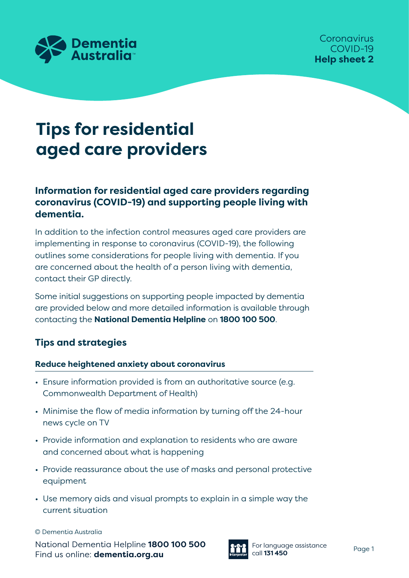

# **Tips for residential aged care providers**

## **Information for residential aged care providers regarding coronavirus (COVID-19) and supporting people living with dementia.**

In addition to the infection control measures aged care providers are implementing in response to coronavirus (COVID-19), the following outlines some considerations for people living with dementia. If you are concerned about the health of a person living with dementia, contact their GP directly.

Some initial suggestions on supporting people impacted by dementia are provided below and more detailed information is available through contacting the **National Dementia Helpline** on **1800 100 500**.

## **Tips and strategies**

### **Reduce heightened anxiety about coronavirus**

- Ensure information provided is from an authoritative source (e.g. Commonwealth Department of Health)
- Minimise the flow of media information by turning off the 24-hour news cycle on TV
- Provide information and explanation to residents who are aware and concerned about what is happening
- Provide reassurance about the use of masks and personal protective equipment
- Use memory aids and visual prompts to explain in a simple way the current situation

© Dementia Australia

National Dementia Helpline **1800 100 500** Find us online: **dementia.org.au**



For language assistance call **131 450** Page 1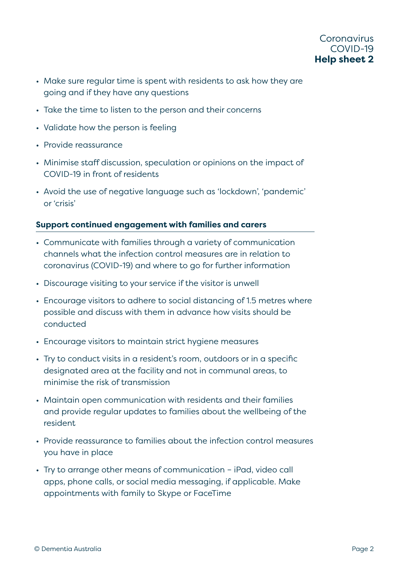- Make sure regular time is spent with residents to ask how they are going and if they have any questions
- Take the time to listen to the person and their concerns
- Validate how the person is feeling
- Provide reassurance
- Minimise staff discussion, speculation or opinions on the impact of COVID-19 in front of residents
- Avoid the use of negative language such as 'lockdown', 'pandemic' or 'crisis'

#### **Support continued engagement with families and carers**

- Communicate with families through a variety of communication channels what the infection control measures are in relation to coronavirus (COVID-19) and where to go for further information
- Discourage visiting to your service if the visitor is unwell
- Encourage visitors to adhere to social distancing of 1.5 metres where possible and discuss with them in advance how visits should be conducted
- Encourage visitors to maintain strict hygiene measures
- Try to conduct visits in a resident's room, outdoors or in a specific designated area at the facility and not in communal areas, to minimise the risk of transmission
- Maintain open communication with residents and their families and provide regular updates to families about the wellbeing of the resident
- Provide reassurance to families about the infection control measures you have in place
- Try to arrange other means of communication iPad, video call apps, phone calls, or social media messaging, if applicable. Make appointments with family to Skype or FaceTime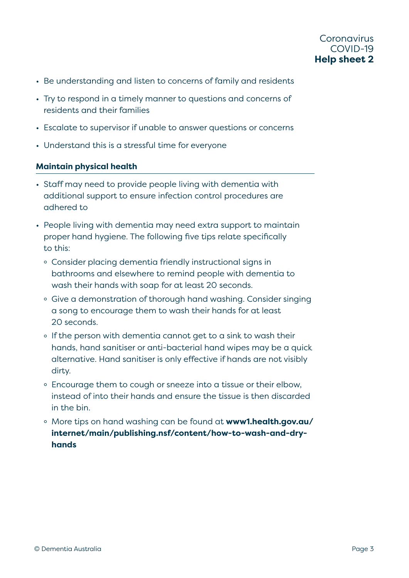- Be understanding and listen to concerns of family and residents
- Try to respond in a timely manner to questions and concerns of residents and their families
- Escalate to supervisor if unable to answer questions or concerns
- Understand this is a stressful time for everyone

#### **Maintain physical health**

- Staff may need to provide people living with dementia with additional support to ensure infection control procedures are adhered to
- People living with dementia may need extra support to maintain proper hand hygiene. The following five tips relate specifically to this:
	- ° Consider placing dementia friendly instructional signs in bathrooms and elsewhere to remind people with dementia to wash their hands with soap for at least 20 seconds.
	- ° Give a demonstration of thorough hand washing. Consider singing a song to encourage them to wash their hands for at least 20 seconds.
	- ° If the person with dementia cannot get to a sink to wash their hands, hand sanitiser or anti-bacterial hand wipes may be a quick alternative. Hand sanitiser is only effective if hands are not visibly dirty.
	- ° Encourage them to cough or sneeze into a tissue or their elbow, instead of into their hands and ensure the tissue is then discarded in the bin.
	- ° More tips on hand washing can be found at **[www1.health.gov.au/](http://www1.health.gov.au/internet/main/publishing.nsf/content/how-to-wash-and-dry-hands) [internet/main/publishing.nsf/content/how-to-wash-and-dry](http://www1.health.gov.au/internet/main/publishing.nsf/content/how-to-wash-and-dry-hands)[hands](http://www1.health.gov.au/internet/main/publishing.nsf/content/how-to-wash-and-dry-hands)**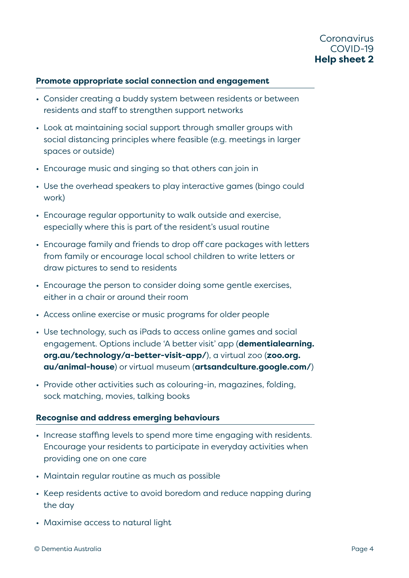#### **Promote appropriate social connection and engagement**

- Consider creating a buddy system between residents or between residents and staff to strengthen support networks
- Look at maintaining social support through smaller groups with social distancing principles where feasible (e.g. meetings in larger spaces or outside)
- Encourage music and singing so that others can join in
- Use the overhead speakers to play interactive games (bingo could work)
- Encourage regular opportunity to walk outside and exercise, especially where this is part of the resident's usual routine
- Encourage family and friends to drop off care packages with letters from family or encourage local school children to write letters or draw pictures to send to residents
- Encourage the person to consider doing some gentle exercises, either in a chair or around their room
- Access online exercise or music programs for older people
- Use technology, such as iPads to access online games and social engagement. Options include 'A better visit' app (**[dementialearning.](http://dementialearning.org.au/technology/a-better-visit-app/) [org.au/technology/a-better-visit-app/](http://dementialearning.org.au/technology/a-better-visit-app/)**), a virtual zoo (**[zoo.org.](http://zoo.org.au/animal-house) [au/animal-house](http://zoo.org.au/animal-house)**) or virtual museum (**[artsandculture.google.com/](http://artsandculture.google.com/)**)
- Provide other activities such as colouring-in, magazines, folding, sock matching, movies, talking books

#### **Recognise and address emerging behaviours**

- Increase staffing levels to spend more time engaging with residents. Encourage your residents to participate in everyday activities when providing one on one care
- Maintain regular routine as much as possible
- Keep residents active to avoid boredom and reduce napping during the day
- Maximise access to natural light